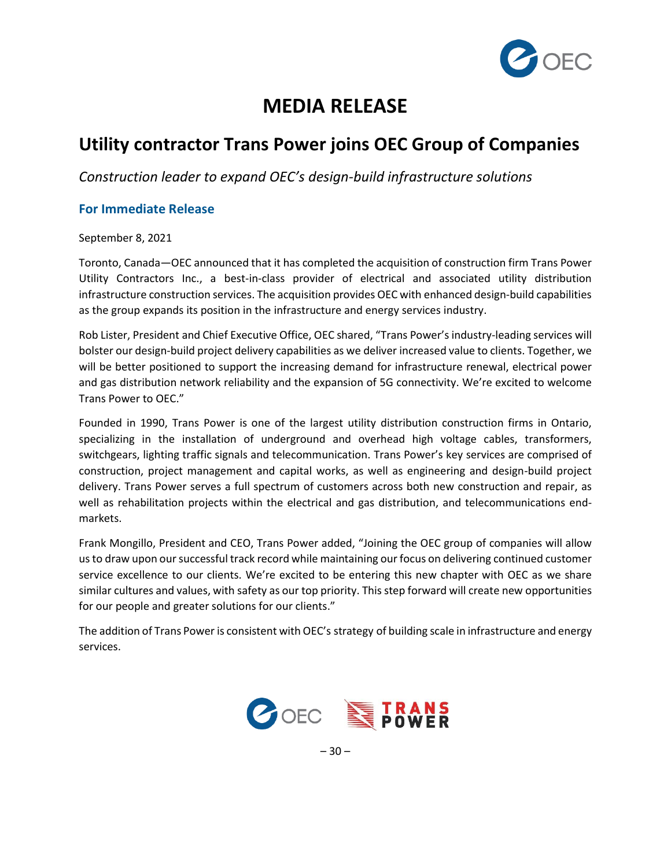

# **MEDIA RELEASE**

## **Utility contractor Trans Power joins OEC Group of Companies**

*Construction leader to expand OEC's design-build infrastructure solutions*

## **For Immediate Release**

September 8, 2021

Toronto, Canada—OEC announced that it has completed the acquisition of construction firm Trans Power Utility Contractors Inc., a best-in-class provider of electrical and associated utility distribution infrastructure construction services. The acquisition provides OEC with enhanced design-build capabilities as the group expands its position in the infrastructure and energy services industry.

Rob Lister, President and Chief Executive Office, OEC shared, "Trans Power's industry-leading services will bolster our design-build project delivery capabilities as we deliver increased value to clients. Together, we will be better positioned to support the increasing demand for infrastructure renewal, electrical power and gas distribution network reliability and the expansion of 5G connectivity. We're excited to welcome Trans Power to OEC."

Founded in 1990, Trans Power is one of the largest utility distribution construction firms in Ontario, specializing in the installation of underground and overhead high voltage cables, transformers, switchgears, lighting traffic signals and telecommunication. Trans Power's key services are comprised of construction, project management and capital works, as well as engineering and design-build project delivery. Trans Power serves a full spectrum of customers across both new construction and repair, as well as rehabilitation projects within the electrical and gas distribution, and telecommunications endmarkets.

Frank Mongillo, President and CEO, Trans Power added, "Joining the OEC group of companies will allow us to draw upon our successful track record while maintaining our focus on delivering continued customer service excellence to our clients. We're excited to be entering this new chapter with OEC as we share similar cultures and values, with safety as our top priority. This step forward will create new opportunities for our people and greater solutions for our clients."

The addition of Trans Power is consistent with OEC's [strategy](https://cts.businesswire.com/ct/CT?id=smartlink&url=https%3A%2F%2Fwww.carlisle.com%2Fwho-we-are%2Fvision-2025%2Fdefault.aspx&esheet=52461721&newsitemid=20210719005218&lan=en-US&anchor=Vision+2025&index=2&md5=b82e37f2d3621082a15048fb6843225c) of building scale in infrastructure and energy services.